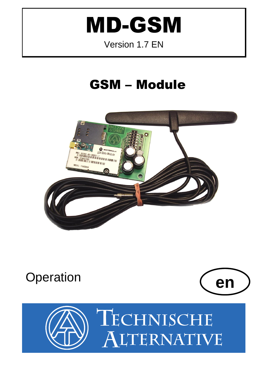# **MD-GSM**

### Version 1.7 EN

# **GSM - Module**



# Operation



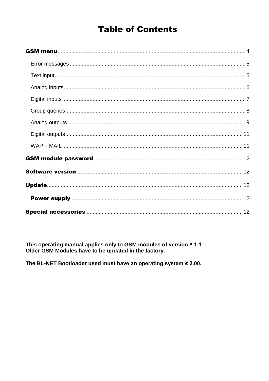### **Table of Contents**

This operating manual applies only to GSM modules of version ≥ 1.1.<br>Older GSM Modules have to be updated in the factory.

The BL-NET Bootloader used must have an operating system  $\geq 2.00$ .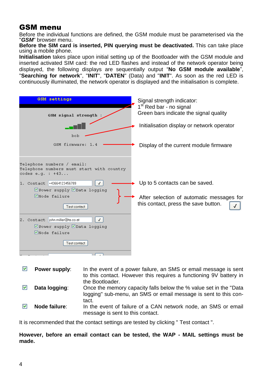#### <span id="page-3-0"></span>GSM menu

Before the individual functions are defined, the GSM module must be parameterised via the "*GSM*" browser menu.

**Before the SIM card is inserted, PIN querying must be deactivated.** This can take place using a mobile phone.

**Initialisation** takes place upon initial setting up of the Bootloader with the GSM module and inserted activated SIM card: the red LED flashes and instead of the network operator being displayed, the following displays are sequentially output "**No GSM module available**", "**Searching for network**", "**INIT**", "**DATEN**" (Data) and "**INIT**". As soon as the red LED is continuously illuminated, the network operator is displayed and the initialisation is complete.

| <b>GSM</b> settings<br>GSM signal strength                                                       | Signal strength indicator:<br>1 <sup>st</sup> Red bar - no signal<br>Green bars indicate the signal quality |
|--------------------------------------------------------------------------------------------------|-------------------------------------------------------------------------------------------------------------|
|                                                                                                  | Initialisation display or network operator                                                                  |
| bob<br>GSM firmware: 1.4                                                                         | Display of the current module firmware                                                                      |
| Telephone numbers / email:<br>Telephone numbers must start with country<br>codes $e.q.$ : $+43$  |                                                                                                             |
| 1. Contact +43664123456789<br>$\checkmark$<br>☑ Power supply ØData logging                       | Up to 5 contacts can be saved.                                                                              |
| <b>ØNode failure</b><br>Test contact                                                             | After selection of automatic messages for<br>this contact, press the save button.                           |
| 2. Contact john.miller@ta.co.at<br>☑ Power supply ØData logging<br>VNode failure<br>Test contact |                                                                                                             |
|                                                                                                  |                                                                                                             |

| ₩ | Power supply: | In the event of a power failure, an SMS or email message is sent<br>to this contact. However this requires a functioning 9V battery in                            |
|---|---------------|-------------------------------------------------------------------------------------------------------------------------------------------------------------------|
|   | Data logging: | the Bootloader.<br>Once the memory capacity falls below the % value set in the "Data"<br>logging" sub-menu, an SMS or email message is sent to this con-<br>tact. |
|   | Node failure: | In the event of failure of a CAN network node, an SMS or email<br>message is sent to this contact.                                                                |

It is recommended that the contact settings are tested by clicking " Test contact ".

**However, before an email contact can be tested, the WAP - MAIL settings must be made.**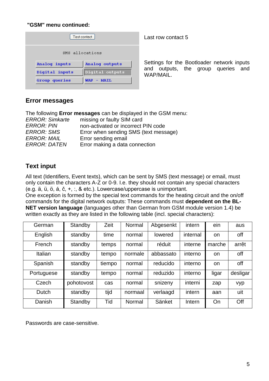#### **"GSM" menu continued:**

| Test contact    |                      |  |
|-----------------|----------------------|--|
| SMS allocations |                      |  |
| Analog inputs   | Analog outputs       |  |
| Digital inputs  | Digital outputs      |  |
| Group queries   | <b>WAP</b><br>- MAIL |  |

Last row contact 5

Settings for the Bootloader network inputs and outputs, the group queries and WAP/MAIL.

#### <span id="page-4-0"></span>**Error messages**

The following **Error messages** can be displayed in the GSM menu: *ERROR: Simkarte* missing or faulty SIM card *ERROR: PIN* non-activated or incorrect PIN code *ERROR: SMS* Error when sending SMS (text message) *ERROR: MAIL* Error sending email *ERROR: DATEN* Error making a data connection

#### <span id="page-4-1"></span>**Text input**

All text (Identifiers, Event texts), which can be sent by SMS (text message) or email, must only contain the characters A-Z or 0-9. I.e. they should not contain any special characters (e.g. ä, ü, ö, á, č, +, :, & etc.). Lowercase/uppercase is unimportant.

One exception is formed by the special text commands for the heating circuit and the on/off commands for the digital network outputs: These commands must **dependent on the BL-NET version language** (languages other than German from GSM module version 1.4) be written exactly as they are listed in the following table (incl. special characters):

| German     | Standby    | Zeit   | Normal  | Abgesenkt | intern   | ein    | aus      |
|------------|------------|--------|---------|-----------|----------|--------|----------|
| English    | standby    | time   | normal  | lowered   | internal | on     | off      |
| French     | standby    | temps  | normal  | réduit    | interne  | marche | arrêt    |
| Italian    | standby    | tempo  | normale | abbassato | interno  | on     | off      |
| Spanish    | standby    | tiempo | normal  | reducido  | interno  | on.    | off      |
| Portuguese | standby    | tempo  | normal  | reduzido  | interno  | ligar  | desligar |
| Czech      | pohotovost | cas    | normal  | snizeny   | interni  | zap    | vyp      |
| Dutch      | standby    | tijd   | normaal | verlaagd  | intern   | aan    | uit      |
| Danish     | Standby    | Tid    | Normal  | Sänket    | Intern   | On     | Off      |

Passwords are case-sensitive.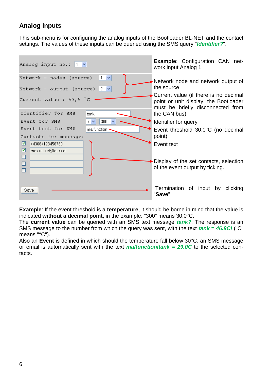#### <span id="page-5-0"></span>**Analog inputs**

This sub-menu is for configuring the analog inputs of the Bootloader BL-NET and the contact settings. The values of these inputs can be queried using the SMS query "*Identifier?*".

| Analog input no.: $ 1 \times$                                                                                                                                                       | <b>Example: Configuration CAN net-</b><br>work input Analog 1:                                                                                                                          |
|-------------------------------------------------------------------------------------------------------------------------------------------------------------------------------------|-----------------------------------------------------------------------------------------------------------------------------------------------------------------------------------------|
| Network - nodes (source)<br>$1 \times$<br>Network - output (source) $2 \vee$<br>Current value : 53,5 °C<br>Identifier for SMS<br>tank                                               | Network node and network output of<br>the source<br>Current value (if there is no decimal<br>point or unit display, the Bootloader<br>must be briefly disconnected from<br>the CAN bus) |
| $\checkmark$ $\checkmark$<br>300<br>Event for SMS<br>$\checkmark$<br>Event text for SMS<br>malfunction<br>Contacts for message:<br>罓<br>+43664123456789<br>⊠<br>max.miller@ta.co.at | Identifier for query<br>Event threshold 30.0°C (no decimal<br>point)<br>Event text                                                                                                      |
| ◻<br>□<br>□                                                                                                                                                                         | Display of the set contacts, selection<br>of the event output by ticking.                                                                                                               |
| Save                                                                                                                                                                                | Termination of input by clicking<br>"Save"                                                                                                                                              |

**Example**: If the event threshold is a **temperature**, it should be borne in mind that the value is indicated **without a decimal point**, in the example: "300" means 30.0°C.

The **current value** can be queried with an SMS text message *tank?*. The response is an SMS message to the number from which the query was sent, with the text *tank = 46.8C!* ("C" means "°C").

Also an **Event** is defined in which should the temperature fall below 30°C, an SMS message or email is automatically sent with the text **malfunction/tank = 29.0C** to the selected contacts.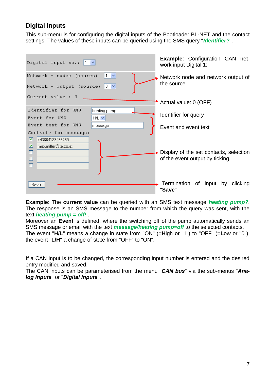#### <span id="page-6-0"></span>**Digital inputs**

This sub-menu is for configuring the digital inputs of the Bootloader BL-NET and the contact settings. The values of these inputs can be queried using the SMS query "*Identifier?*".

| Digital input no.: $ 1 \times$                                                           | <b>Example: Configuration CAN net-</b><br>work input Digital 1:           |
|------------------------------------------------------------------------------------------|---------------------------------------------------------------------------|
| Network - nodes (source)<br>Network - output (source) $3 \vee$                           | Network node and network output of<br>the source                          |
| Current value : 0                                                                        | Actual value: 0 (OFF)                                                     |
| Identifier for SMS<br>heating pump<br>Event for SMS<br>$H/L$ $\vee$                      | Identifier for query                                                      |
| Event text for SMS<br>message                                                            | Event and event text                                                      |
| Contacts for message:<br>罓<br>+43664123456789<br>☑<br>max.miller@ta.co.at<br>□<br>□<br>□ | Display of the set contacts, selection<br>of the event output by ticking. |
| Save                                                                                     | Termination of input by<br>clicking<br>"Save"                             |

**Example**: The **current value** can be queried with an SMS text message *heating pump?*. The response is an SMS message to the number from which the query was sent, with the text *heating pump = off!* .

Moreover an **Event** is defined, where the switching off of the pump automatically sends an SMS message or email with the text *message/heating pump=off* to the selected contacts. The event "**H/L**" means a change in state from "ON" (=**H**igh or "1") to "OFF" (=**L**ow or "0"), the event "**L/H**" a change of state from "OFF" to "ON".

If a CAN input is to be changed, the corresponding input number is entered and the desired entry modified and saved.

The CAN inputs can be parameterised from the menu "*CAN bus*" via the sub-menus "*Analog Inputs*" or "*Digital Inputs*".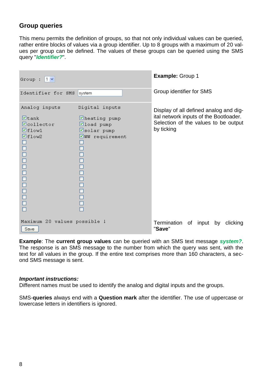#### <span id="page-7-0"></span>**Group queries**

This menu permits the definition of groups, so that not only individual values can be queried, rather entire blocks of values via a group identifier. Up to 8 groups with a maximum of 20 values per group can be defined. The values of these groups can be queried using the SMS query "*Identifier?*".

| Group : $ 1 \vee$                                                                                                                                       |                                                                                                                               | Example: Group 1                                                                                                                       |
|---------------------------------------------------------------------------------------------------------------------------------------------------------|-------------------------------------------------------------------------------------------------------------------------------|----------------------------------------------------------------------------------------------------------------------------------------|
| Identifier for SMS                                                                                                                                      | system                                                                                                                        | Group identifier for SMS                                                                                                               |
| Analog inputs<br>$\blacksquare$ tank<br><b>Ø</b> collector<br>$\blacksquare$ flow1<br>$\blacksquare$ flow2<br>$\Box$<br>$\Box$<br>$\Box$<br>$\Box$<br>П | Digital inputs<br>⊠heating pump<br>⊠load pump<br>Øsolar pump<br><b>ØWW</b> requirement<br>$\Box$<br>00000<br>$\Box$<br>$\Box$ | Display of all defined analog and dig-<br>ital network inputs of the Bootloader.<br>Selection of the values to be output<br>by ticking |
| Maximum 20 values possible !<br>Save                                                                                                                    |                                                                                                                               | Termination of input by<br>clicking<br>"Save"                                                                                          |

**Example**: The **current group values** can be queried with an SMS text message *system?*. The response is an SMS message to the number from which the query was sent, with the text for all values in the group. If the entire text comprises more than 160 characters, a second SMS message is sent.

#### *Important instructions:*

Different names must be used to identify the analog and digital inputs and the groups.

SMS-**queries** always end with a **Question mark** after the identifier. The use of uppercase or lowercase letters in identifiers is ignored.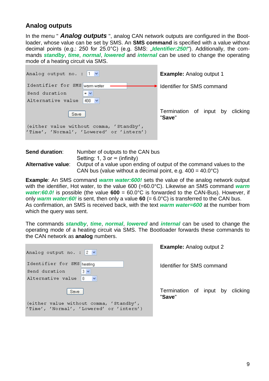#### <span id="page-8-0"></span>**Analog outputs**

In the menu " *Analog outputs* ", analog CAN network outputs are configured in the Bootloader, whose value can be set by SMS. An **SMS command** is specified with a value without decimal points (e.g.: 250 for 25.0°C) (e.g. SMS: "*Identifier:250!*"). Additionally, the commands *standby*, *time*, *normal*, *lowered* and *internal* can be used to change the operating mode of a heating circuit via SMS.

| Analog output no. : $ 1 \rangle$                                                    | <b>Example:</b> Analog output 1            |
|-------------------------------------------------------------------------------------|--------------------------------------------|
| Identifier for SMS warm water<br>Send duration<br>$\sim$                            | Identifier for SMS command                 |
| Alternative value<br>$400 \times$                                                   |                                            |
| Save                                                                                | Termination of input by clicking<br>"Save" |
| (either value without comma, 'Standby',<br>'Time', 'Normal', 'Lowered' or 'intern') |                                            |

| <b>Send duration:</b>     | Number of outputs to the CAN bus                                     |
|---------------------------|----------------------------------------------------------------------|
|                           | Setting: 1, 3 or $\infty$ (infinity)                                 |
| <b>Alternative value:</b> | Output of a value upon ending of output of the command values to the |
|                           | CAN bus (value without a decimal point, e.g. $400 = 40.0^{\circ}$ C) |

**Example**: An SMS command *warm water:600!* sets the value of the analog network output with the identifier, Hot water, to the value 600 (=60.0°C). Likewise an SMS command *warm water:60.0!* is possible (the value **600** = 60.0°C is forwarded to the CAN-Bus). However, if only *warm water:60!* is sent, then only a value **60** (= 6.0°C) is transferred to the CAN bus. As confirmation, an SMS is received back, with the text *warm water=600* at the number from which the query was sent.

The commands *standby*, *time*, *normal*, *lowered* and *internal* can be used to change the operating mode of a heating circuit via SMS. The Bootloader forwards these commands to the CAN network as **analog** numbers.

| Analog output no. : $2 \vee$ |                                                                                     |              |
|------------------------------|-------------------------------------------------------------------------------------|--------------|
| Identifier for SMS heating   |                                                                                     |              |
| Send duration                | $3 \vee$                                                                            |              |
| Alternative value            | l O                                                                                 |              |
|                              |                                                                                     |              |
| Save                         |                                                                                     | $\mathbf{H}$ |
|                              | (either value without comma, 'Standby',<br>'Time', 'Normal', 'Lowered' or 'intern') |              |

**Example:** Analog output 2

dentifier for SMS command

Termination of input by clicking "**Save**"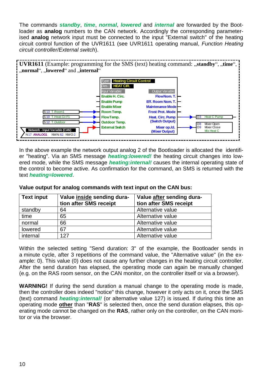The commands *standby*, *time*, *normal*, *lowered* and *internal* are forwarded by the Bootloader as **analog** numbers to the CAN network. Accordingly the corresponding parameterised **analog** network input must be connected to the input "External switch" of the heating circuit control function of the UVR1611 (see UVR1611 operating manual, *Function Heating circuit controller/External switch*).



In the above example the network output analog 2 of the Bootloader is allocated the identifier "heating". Via an SMS message *heating:lowered!* the heating circuit changes into lowered mode, while the SMS message *heating:internal!* causes the internal operating state of the control to become active. As confirmation for the command, an SMS is returned with the text *heating=lowered*.

| <b>Text input</b> | Value inside sending dura- | Value after sending dura- |
|-------------------|----------------------------|---------------------------|
|                   | tion after SMS receipt     | tion after SMS receipt    |
| standby           | 64                         | Alternative value         |
| time              | 65                         | Alternative value         |
| normal            | 66                         | Alternative value         |
| lowered           | 67                         | Alternative value         |
| internal          | 127                        | Alternative value         |

**Value output for analog commands with text input on the CAN bus:**

Within the selected setting "Send duration: 3" of the example, the Bootloader sends in a minute cycle, after 3 repetitions of the command value, the "Alternative value" (in the example: 0). This value (0) does not cause any further changes in the heating circuit controller. After the send duration has elapsed, the operating mode can again be manually changed (e.g. on the RAS room sensor, on the CAN monitor, on the controller itself or via a browser).

**WARNING!** If during the send duration a manual change to the operating mode is made, then the controller does indeed "notice" this change, however it only acts on it, once the SMS (text) command *heating:internal!* (or alternative value 127) is issued. If during this time an operating mode **other** than "**RAS**" is selected then, once the send duration elapses, this operating mode cannot be changed on the **RAS**, rather only on the controller, on the CAN monitor or via the browser.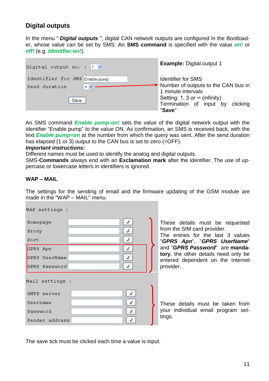#### <span id="page-10-0"></span>**Digital outputs**

In the menu " *Digital outputs* ", digital CAN network outputs are configured in the Bootloader, whose value can be set by SMS. An **SMS command** is specified with the value *on!* or *off!* (e.g. *Identifier:on!*).

| Digital output no. : $ 1 \rangle$                                                    | <b>Example: Digital output 1</b>                                                                                                                                                           |
|--------------------------------------------------------------------------------------|--------------------------------------------------------------------------------------------------------------------------------------------------------------------------------------------|
| Identifier for SMS Enable pump<br>$\mathbf{m}$ $\mathbf{v}$<br>Send duration<br>Save | <b>Identifier for SMS</b><br>$\rightarrow$ Number of outputs to the CAN bus in<br>1 minute intervals<br>Setting: 1, 3 or $\infty$ (infinity)<br>Termination of input by clicking<br>"Save" |

An SMS command *Enable pump:on!* sets the value of the digital network output with the identifier "Enable pump" to the value ON. As confirmation, an SMS is received back, with the text *Enable pump=on* at the number from which the query was sent. After the send duration has elapsed (1 or 3) output to the CAN bus is set to zero (=OFF).

#### *Important instructions:*

Different names must be used to identify the analog and digital outputs.

SMS-**Commands** always end with an **Exclamation mark** after the identifier. The use of uppercase or lowercase letters in identifiers is ignored.

#### <span id="page-10-1"></span>**WAP – MAIL**

The settings for the sending of email and the firmware updating of the GSM module are made in the "WAP – MAIL" menu.

| WAP settings :                             |        |                                                            |
|--------------------------------------------|--------|------------------------------------------------------------|
| Homepage<br>Proxy<br>Port                  | √<br>J | These details<br>from the SIM<br>The entries<br>"GPRS Apn" |
| GPRS Apn<br>GPRS UserName<br>GPRS Password | √<br>√ | and "GPRS P<br>tory, the othe<br>entered depe<br>provider. |
| Mail settings :                            |        |                                                            |
| SMTP server                                | √      |                                                            |
| Username                                   | √      | These details                                              |
| Password                                   |        | your individua                                             |
| Sender address                             |        | tings.                                                     |
|                                            |        |                                                            |

s must be requested card provider.

for the last  $3$  values ". "GPRS UserName" **assword**" are **mandathe right** details need only be ndent on the Internet

s must be taken from al email program set-

The save tick must be clicked each time a value is input.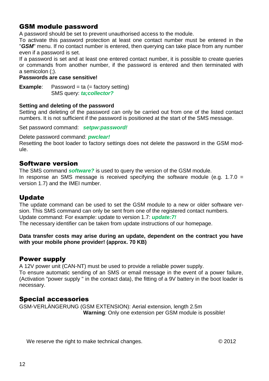#### <span id="page-11-0"></span>GSM module password

A password should be set to prevent unauthorised access to the module.

To activate this password protection at least one contact number must be entered in the "*GSM*" menu. If no contact number is entered, then querying can take place from any number even if a password is set.

If a password is set and at least one entered contact number, it is possible to create queries or commands from another number, if the password is entered and then terminated with a semicolon (;).

#### **Passwords are case sensitive!**

**Example**: Password = ta (= factory setting) SMS query: *ta;collector?*

#### **Setting and deleting of the password**

Setting and deleting of the password can only be carried out from one of the listed contact numbers. It is not sufficient if the password is positioned at the start of the SMS message.

Set password command: *setpw:password!*

Delete password command: *pwclear!*

Resetting the boot loader to factory settings does not delete the password in the GSM module.

#### <span id="page-11-1"></span>Software version

The SMS command *software?* is used to query the version of the GSM module. In response an SMS message is received specifying the software module (e.g.  $1.7.0 =$ version 1.7) and the IMEI number.

#### <span id="page-11-2"></span>Update

The update command can be used to set the GSM module to a new or older software version. This SMS command can only be sent from one of the registered contact numbers. Update command: For example: update to version 1.7: *update:7!* The necessary identifier can be taken from update instructions of our homepage.

#### **Data transfer costs may arise during an update, dependent on the contract you have with your mobile phone provider! (approx. 70 KB)**

#### <span id="page-11-3"></span>Power supply

A 12V power unit (CAN-NT) must be used to provide a reliable power supply.

To ensure automatic sending of an SMS or email message in the event of a power failure, (Activation "power supply " in the contact data), the fitting of a 9V battery in the boot loader is necessary.

#### <span id="page-11-4"></span>Special accessories

GSM-VERLÄNGERUNG (GSM EXTENSION): Aerial extension, length 2.5m **Warning**: Only one extension per GSM module is possible!

We reserve the right to make technical changes.  $\degree$  02012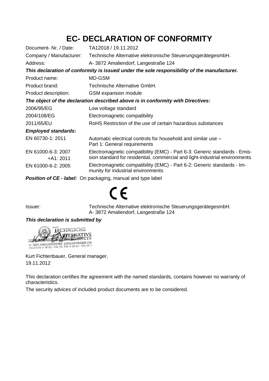### **EC- DECLARATION OF CONFORMITY**

| Document- Nr. / Date:           | TA12018 / 19.11.2012                                                                                                                                     |
|---------------------------------|----------------------------------------------------------------------------------------------------------------------------------------------------------|
| Company / Manufacturer:         | Technische Alternative elektronische SteuerungsgerätegesmbH.                                                                                             |
| Address:                        | A-3872 Amaliendorf, Langestraße 124                                                                                                                      |
|                                 | This declaration of conformity is issued under the sole responsibility of the manufacturer.                                                              |
| Product name:                   | MD-GSM                                                                                                                                                   |
| Product brand:                  | Technische Alternative GmbH.                                                                                                                             |
| Product description:            | <b>GSM</b> expansion module                                                                                                                              |
|                                 | The object of the declaration described above is in conformity with Directives:                                                                          |
| 2006/95/EG                      | Low voltage standard                                                                                                                                     |
| 2004/108/EG                     | Electromagnetic compatibility                                                                                                                            |
| 2011/65/EU                      | RoHS Restriction of the use of certain hazardous substances                                                                                              |
| <b>Employed standards:</b>      |                                                                                                                                                          |
| EN 60730-1: 2011                | Automatic electrical controls for household and similar use –<br>Part 1: General requirements                                                            |
| EN 61000-6-3: 2007<br>+A1: 2011 | Electromagnetic compatibility (EMC) - Part 6-3: Generic standards - Emis-<br>sion standard for residential, commercial and light-industrial environments |
| EN 61000-6-2: 2005              | Electromagnetic compatibility (EMC) - Part 6-2: Generic standards - Im-<br>munity for industrial environments                                            |
|                                 | <b>Bealtham of OF</b> Holoch On a colocated and consistence to be t                                                                                      |

*Position of CE - label:* On packaging, manual and type label

# $\epsilon$

Issuer: Technische Alternative elektronische SteuerungsgerätegesmbH. A- 3872 Amaliendorf, Langestraße 124

#### *This declaration is submitted by*



Kurt Fichtenbauer, General manager, 19.11.2012

This declaration certifies the agreement with the named standards, contains however no warranty of characteristics.

The security advices of included product documents are to be considered.